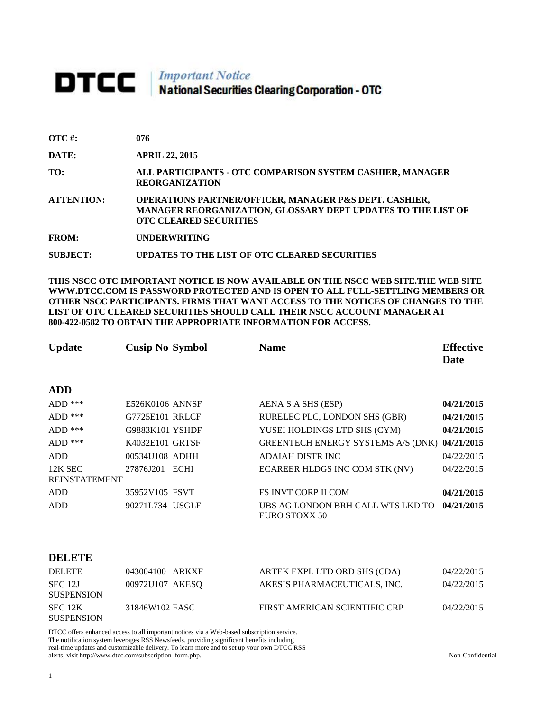## **DTCC** National Securities Clearing Corporation - OTC

| $\overline{OTC}$ #: | 076                                                                                                                                                     |
|---------------------|---------------------------------------------------------------------------------------------------------------------------------------------------------|
| DATE:               | <b>APRIL 22, 2015</b>                                                                                                                                   |
| TO:                 | ALL PARTICIPANTS - OTC COMPARISON SYSTEM CASHIER, MANAGER<br><b>REORGANIZATION</b>                                                                      |
| <b>ATTENTION:</b>   | OPERATIONS PARTNER/OFFICER, MANAGER P&S DEPT. CASHIER,<br>MANAGER REORGANIZATION, GLOSSARY DEPT UPDATES TO THE LIST OF<br><b>OTC CLEARED SECURITIES</b> |
| <b>FROM:</b>        | <b>UNDERWRITING</b>                                                                                                                                     |
| <b>SUBJECT:</b>     | UPDATES TO THE LIST OF OTC CLEARED SECURITIES                                                                                                           |

**THIS NSCC OTC IMPORTANT NOTICE IS NOW AVAILABLE ON THE NSCC WEB SITE.THE WEB SITE WWW.DTCC.COM IS PASSWORD PROTECTED AND IS OPEN TO ALL FULL-SETTLING MEMBERS OR OTHER NSCC PARTICIPANTS. FIRMS THAT WANT ACCESS TO THE NOTICES OF CHANGES TO THE LIST OF OTC CLEARED SECURITIES SHOULD CALL THEIR NSCC ACCOUNT MANAGER AT 800-422-0582 TO OBTAIN THE APPROPRIATE INFORMATION FOR ACCESS.** 

| <b>Update</b>        | <b>Cusip No Symbol</b> | <b>Name</b>                                        | <b>Effective</b><br>Date |
|----------------------|------------------------|----------------------------------------------------|--------------------------|
| <b>ADD</b>           |                        |                                                    |                          |
| $ADD$ ***            | E526K0106 ANNSF        | AENA S A SHS (ESP)                                 | 04/21/2015               |
| $ADD$ ***            | G7725E101 RRLCF        | RURELEC PLC, LONDON SHS (GBR)                      | 04/21/2015               |
| $ADD$ ***            | G9883K101 YSHDF        | YUSEI HOLDINGS LTD SHS (CYM)                       | 04/21/2015               |
| $ADD$ ***            | K4032E101 GRTSF        | GREENTECH ENERGY SYSTEMS A/S (DNK) 04/21/2015      |                          |
| <b>ADD</b>           | 00534U108 ADHH         | <b>ADAIAH DISTR INC</b>                            | 04/22/2015               |
| 12K SEC              | 27876J201 ECHI         | ECAREER HLDGS INC COM STK (NV)                     | 04/22/2015               |
| <b>REINSTATEMENT</b> |                        |                                                    |                          |
| ADD                  | 35952V105 FSVT         | <b>FS INVT CORP II COM</b>                         | 04/21/2015               |
| <b>ADD</b>           | 90271L734 USGLF        | UBS AG LONDON BRH CALL WTS LKD TO<br>EURO STOXX 50 | 04/21/2015               |
|                      |                        |                                                    |                          |

| <b>DELETE</b>                | 043004100 ARKXF | ARTEK EXPL LTD ORD SHS (CDA)  | 04/22/2015 |
|------------------------------|-----------------|-------------------------------|------------|
| SEC 12J<br><b>SUSPENSION</b> | 00972U107 AKESO | AKESIS PHARMACEUTICALS, INC.  | 04/22/2015 |
| SEC 12K<br><b>SUSPENSION</b> | 31846W102 FASC  | FIRST AMERICAN SCIENTIFIC CRP | 04/22/2015 |

DTCC offers enhanced access to all important notices via a Web-based subscription service. The notification system leverages RSS Newsfeeds, providing significant benefits including real-time updates and customizable delivery. To learn more and to set up your own DTCC RSS alerts, visit http://www.dtcc.com/subscription\_form.php. Non-Confidential